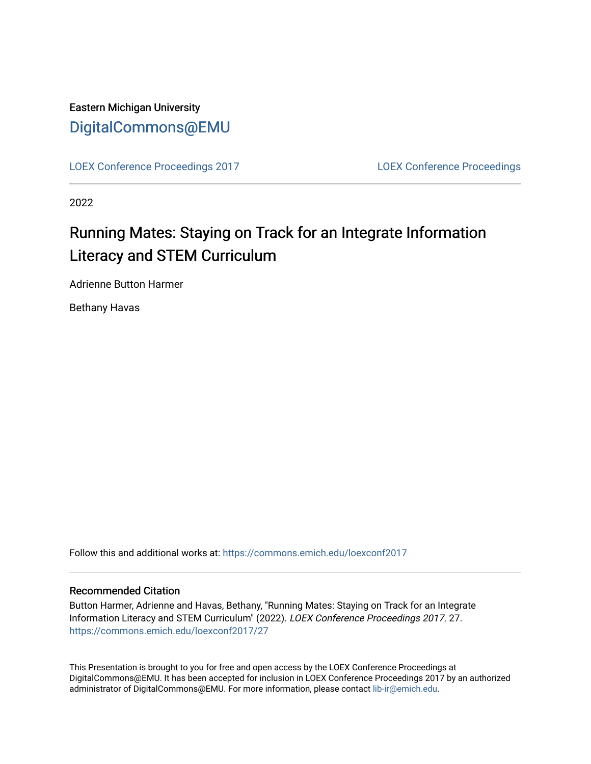# Eastern Michigan University [DigitalCommons@EMU](https://commons.emich.edu/)

[LOEX Conference Proceedings 2017](https://commons.emich.edu/loexconf2017) [LOEX Conference Proceedings](https://commons.emich.edu/loexconf) 

2022

# Running Mates: Staying on Track for an Integrate Information Literacy and STEM Curriculum

Adrienne Button Harmer

Bethany Havas

Follow this and additional works at: [https://commons.emich.edu/loexconf2017](https://commons.emich.edu/loexconf2017?utm_source=commons.emich.edu%2Floexconf2017%2F27&utm_medium=PDF&utm_campaign=PDFCoverPages) 

#### Recommended Citation

Button Harmer, Adrienne and Havas, Bethany, "Running Mates: Staying on Track for an Integrate Information Literacy and STEM Curriculum" (2022). LOEX Conference Proceedings 2017. 27. [https://commons.emich.edu/loexconf2017/27](https://commons.emich.edu/loexconf2017/27?utm_source=commons.emich.edu%2Floexconf2017%2F27&utm_medium=PDF&utm_campaign=PDFCoverPages)

This Presentation is brought to you for free and open access by the LOEX Conference Proceedings at DigitalCommons@EMU. It has been accepted for inclusion in LOEX Conference Proceedings 2017 by an authorized administrator of DigitalCommons@EMU. For more information, please contact [lib-ir@emich.edu](mailto:lib-ir@emich.edu).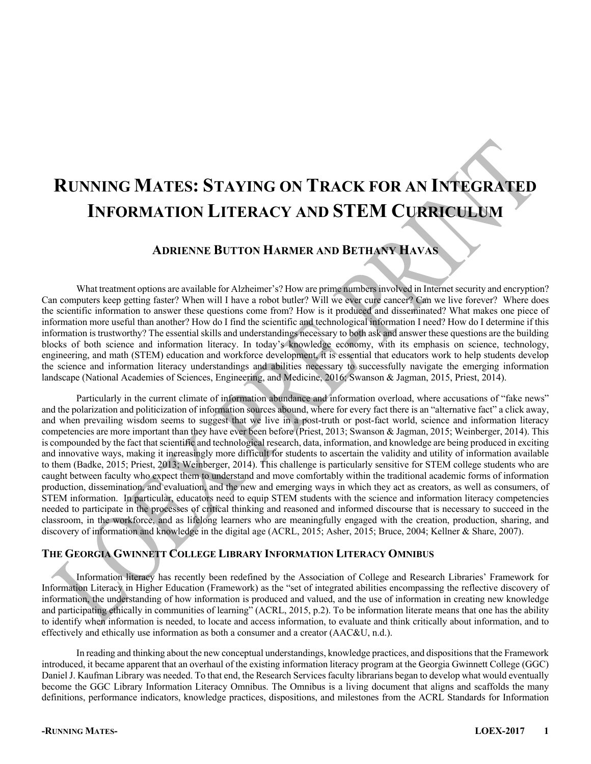# **RUNNING MATES: STAYING ON TRACK FOR AN INTEGRATED INFORMATION LITERACY AND STEM CURRICULUM**

### **ADRIENNE BUTTON HARMER AND BETHANY HAVAS**

What treatment options are available for Alzheimer's? How are prime numbers involved in Internet security and encryption? Can computers keep getting faster? When will I have a robot butler? Will we ever cure cancer? Can we live forever? Where does the scientific information to answer these questions come from? How is it produced and disseminated? What makes one piece of information more useful than another? How do I find the scientific and technological information I need? How do I determine if this information is trustworthy? The essential skills and understandings necessary to both ask and answer these questions are the building blocks of both science and information literacy. In today's knowledge economy, with its emphasis on science, technology, engineering, and math (STEM) education and workforce development, it is essential that educators work to help students develop the science and information literacy understandings and abilities necessary to successfully navigate the emerging information landscape (National Academies of Sciences, Engineering, and Medicine, 2016; Swanson & Jagman, 2015, Priest, 2014).

Particularly in the current climate of information abundance and information overload, where accusations of "fake news" and the polarization and politicization of information sources abound, where for every fact there is an "alternative fact" a click away, and when prevailing wisdom seems to suggest that we live in a post-truth or post-fact world, science and information literacy competencies are more important than they have ever been before (Priest, 2013; Swanson & Jagman, 2015; Weinberger, 2014). This is compounded by the fact that scientific and technological research, data, information, and knowledge are being produced in exciting and innovative ways, making it increasingly more difficult for students to ascertain the validity and utility of information available to them (Badke, 2015; Priest, 2013; Weinberger, 2014). This challenge is particularly sensitive for STEM college students who are caught between faculty who expect them to understand and move comfortably within the traditional academic forms of information production, dissemination, and evaluation, and the new and emerging ways in which they act as creators, as well as consumers, of STEM information. In particular, educators need to equip STEM students with the science and information literacy competencies needed to participate in the processes of critical thinking and reasoned and informed discourse that is necessary to succeed in the classroom, in the workforce, and as lifelong learners who are meaningfully engaged with the creation, production, sharing, and discovery of information and knowledge in the digital age (ACRL, 2015; Asher, 2015; Bruce, 2004; Kellner & Share, 2007).

#### **THE GEORGIA GWINNETT COLLEGE LIBRARY INFORMATION LITERACY OMNIBUS**

Information literacy has recently been redefined by the Association of College and Research Libraries' Framework for Information Literacy in Higher Education (Framework) as the "set of integrated abilities encompassing the reflective discovery of information, the understanding of how information is produced and valued, and the use of information in creating new knowledge and participating ethically in communities of learning" (ACRL, 2015, p.2). To be information literate means that one has the ability to identify when information is needed, to locate and access information, to evaluate and think critically about information, and to effectively and ethically use information as both a consumer and a creator (AAC&U, n.d.).

In reading and thinking about the new conceptual understandings, knowledge practices, and dispositions that the Framework introduced, it became apparent that an overhaul of the existing information literacy program at the Georgia Gwinnett College (GGC) Daniel J. Kaufman Library was needed. To that end, the Research Services faculty librarians began to develop what would eventually become the GGC Library Information Literacy Omnibus. The Omnibus is a living document that aligns and scaffolds the many definitions, performance indicators, knowledge practices, dispositions, and milestones from the ACRL Standards for Information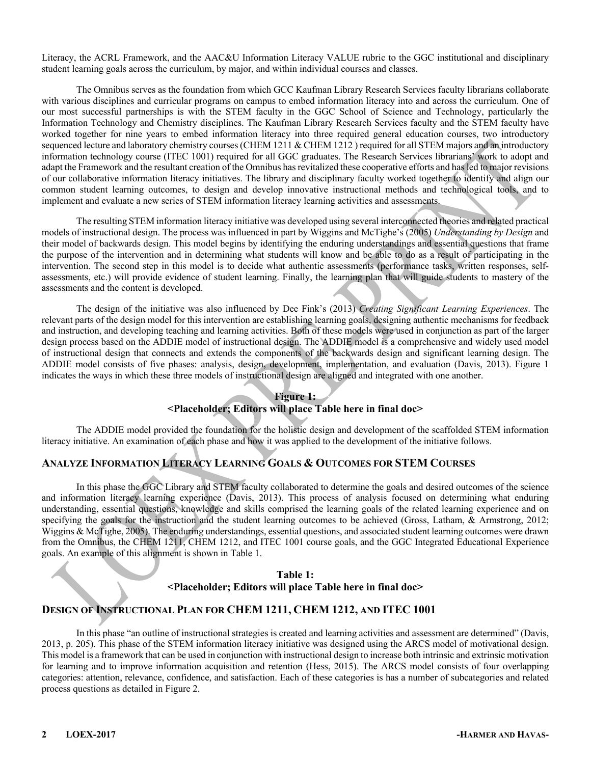Literacy, the ACRL Framework, and the AAC&U Information Literacy VALUE rubric to the GGC institutional and disciplinary student learning goals across the curriculum, by major, and within individual courses and classes.

The Omnibus serves as the foundation from which GCC Kaufman Library Research Services faculty librarians collaborate with various disciplines and curricular programs on campus to embed information literacy into and across the curriculum. One of our most successful partnerships is with the STEM faculty in the GGC School of Science and Technology, particularly the Information Technology and Chemistry disciplines. The Kaufman Library Research Services faculty and the STEM faculty have worked together for nine years to embed information literacy into three required general education courses, two introductory sequenced lecture and laboratory chemistry courses (CHEM 1211 & CHEM 1212) required for all STEM majors and an introductory information technology course (ITEC 1001) required for all GGC graduates. The Research Services librarians' work to adopt and adapt the Framework and the resultant creation of the Omnibus has revitalized these cooperative efforts and has led to major revisions of our collaborative information literacy initiatives. The library and disciplinary faculty worked together to identify and align our common student learning outcomes, to design and develop innovative instructional methods and technological tools, and to implement and evaluate a new series of STEM information literacy learning activities and assessments.

The resulting STEM information literacy initiative was developed using several interconnected theories and related practical models of instructional design. The process was influenced in part by Wiggins and McTighe's (2005) *Understanding by Design* and their model of backwards design. This model begins by identifying the enduring understandings and essential questions that frame the purpose of the intervention and in determining what students will know and be able to do as a result of participating in the intervention. The second step in this model is to decide what authentic assessments (performance tasks, written responses, selfassessments, etc.) will provide evidence of student learning. Finally, the learning plan that will guide students to mastery of the assessments and the content is developed.

The design of the initiative was also influenced by Dee Fink's (2013) *Creating Significant Learning Experiences*. The relevant parts of the design model for this intervention are establishing learning goals, designing authentic mechanisms for feedback and instruction, and developing teaching and learning activities. Both of these models were used in conjunction as part of the larger design process based on the ADDIE model of instructional design. The ADDIE model is a comprehensive and widely used model of instructional design that connects and extends the components of the backwards design and significant learning design. The ADDIE model consists of five phases: analysis, design, development, implementation, and evaluation (Davis, 2013). Figure 1 indicates the ways in which these three models of instructional design are aligned and integrated with one another.

#### **Figure 1: <Placeholder; Editors will place Table here in final doc>**

The ADDIE model provided the foundation for the holistic design and development of the scaffolded STEM information literacy initiative. An examination of each phase and how it was applied to the development of the initiative follows.

#### **ANALYZE INFORMATION LITERACY LEARNING GOALS & OUTCOMES FOR STEM COURSES**

In this phase the GGC Library and STEM faculty collaborated to determine the goals and desired outcomes of the science and information literacy learning experience (Davis, 2013). This process of analysis focused on determining what enduring understanding, essential questions, knowledge and skills comprised the learning goals of the related learning experience and on specifying the goals for the instruction and the student learning outcomes to be achieved (Gross, Latham, & Armstrong, 2012; Wiggins & McTighe, 2005). The enduring understandings, essential questions, and associated student learning outcomes were drawn from the Omnibus, the CHEM 1211, CHEM 1212, and ITEC 1001 course goals, and the GGC Integrated Educational Experience goals. An example of this alignment is shown in Table 1.

#### **Table 1: <Placeholder; Editors will place Table here in final doc>**

#### **DESIGN OF INSTRUCTIONAL PLAN FOR CHEM 1211, CHEM 1212, AND ITEC 1001**

In this phase "an outline of instructional strategies is created and learning activities and assessment are determined" (Davis, 2013, p. 205). This phase of the STEM information literacy initiative was designed using the ARCS model of motivational design. This model is a framework that can be used in conjunction with instructional design to increase both intrinsic and extrinsic motivation for learning and to improve information acquisition and retention (Hess, 2015). The ARCS model consists of four overlapping categories: attention, relevance, confidence, and satisfaction. Each of these categories is has a number of subcategories and related process questions as detailed in Figure 2.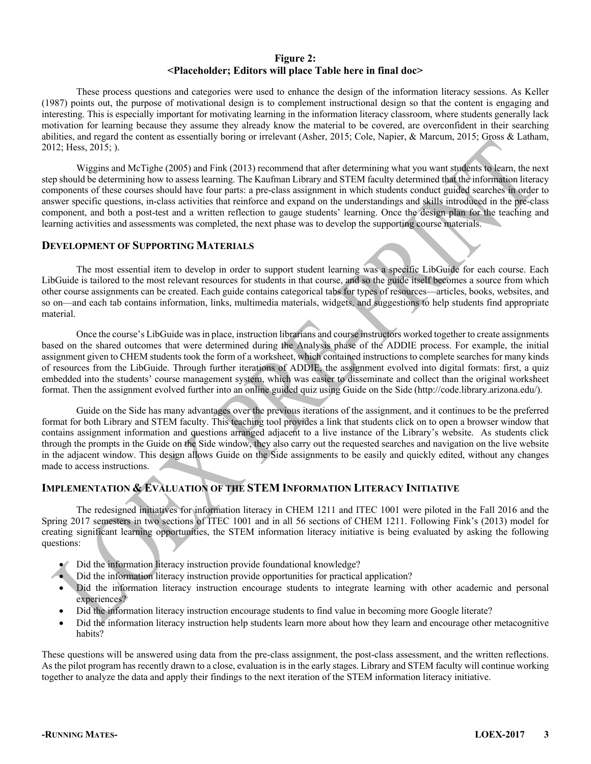#### **Figure 2: <Placeholder; Editors will place Table here in final doc>**

These process questions and categories were used to enhance the design of the information literacy sessions. As Keller (1987) points out, the purpose of motivational design is to complement instructional design so that the content is engaging and interesting. This is especially important for motivating learning in the information literacy classroom, where students generally lack motivation for learning because they assume they already know the material to be covered, are overconfident in their searching abilities, and regard the content as essentially boring or irrelevant (Asher, 2015; Cole, Napier, & Marcum, 2015; Gross & Latham, 2012; Hess, 2015; ).

Wiggins and McTighe (2005) and Fink (2013) recommend that after determining what you want students to learn, the next step should be determining how to assess learning. The Kaufman Library and STEM faculty determined that the information literacy components of these courses should have four parts: a pre-class assignment in which students conduct guided searches in order to answer specific questions, in-class activities that reinforce and expand on the understandings and skills introduced in the pre-class component, and both a post-test and a written reflection to gauge students' learning. Once the design plan for the teaching and learning activities and assessments was completed, the next phase was to develop the supporting course materials.

#### **DEVELOPMENT OF SUPPORTING MATERIALS**

The most essential item to develop in order to support student learning was a specific LibGuide for each course. Each LibGuide is tailored to the most relevant resources for students in that course, and so the guide itself becomes a source from which other course assignments can be created. Each guide contains categorical tabs for types of resources—articles, books, websites, and so on—and each tab contains information, links, multimedia materials, widgets, and suggestions to help students find appropriate material.

Once the course's LibGuide was in place, instruction librarians and course instructors worked together to create assignments based on the shared outcomes that were determined during the Analysis phase of the ADDIE process. For example, the initial assignment given to CHEM students took the form of a worksheet, which contained instructions to complete searches for many kinds of resources from the LibGuide. Through further iterations of ADDIE, the assignment evolved into digital formats: first, a quiz embedded into the students' course management system, which was easier to disseminate and collect than the original worksheet format. Then the assignment evolved further into an online guided quiz using Guide on the Side (http://code.library.arizona.edu/).

Guide on the Side has many advantages over the previous iterations of the assignment, and it continues to be the preferred format for both Library and STEM faculty. This teaching tool provides a link that students click on to open a browser window that contains assignment information and questions arranged adjacent to a live instance of the Library's website. As students click through the prompts in the Guide on the Side window, they also carry out the requested searches and navigation on the live website in the adjacent window. This design allows Guide on the Side assignments to be easily and quickly edited, without any changes made to access instructions.

#### **IMPLEMENTATION & EVALUATION OF THE STEM INFORMATION LITERACY INITIATIVE**

The redesigned initiatives for information literacy in CHEM 1211 and ITEC 1001 were piloted in the Fall 2016 and the Spring 2017 semesters in two sections of ITEC 1001 and in all 56 sections of CHEM 1211. Following Fink's (2013) model for creating significant learning opportunities, the STEM information literacy initiative is being evaluated by asking the following questions:

- Did the information literacy instruction provide foundational knowledge?
- Did the information literacy instruction provide opportunities for practical application?
- Did the information literacy instruction encourage students to integrate learning with other academic and personal experiences?
- Did the information literacy instruction encourage students to find value in becoming more Google literate?
- Did the information literacy instruction help students learn more about how they learn and encourage other metacognitive habits?

These questions will be answered using data from the pre-class assignment, the post-class assessment, and the written reflections. As the pilot program has recently drawn to a close, evaluation is in the early stages. Library and STEM faculty will continue working together to analyze the data and apply their findings to the next iteration of the STEM information literacy initiative.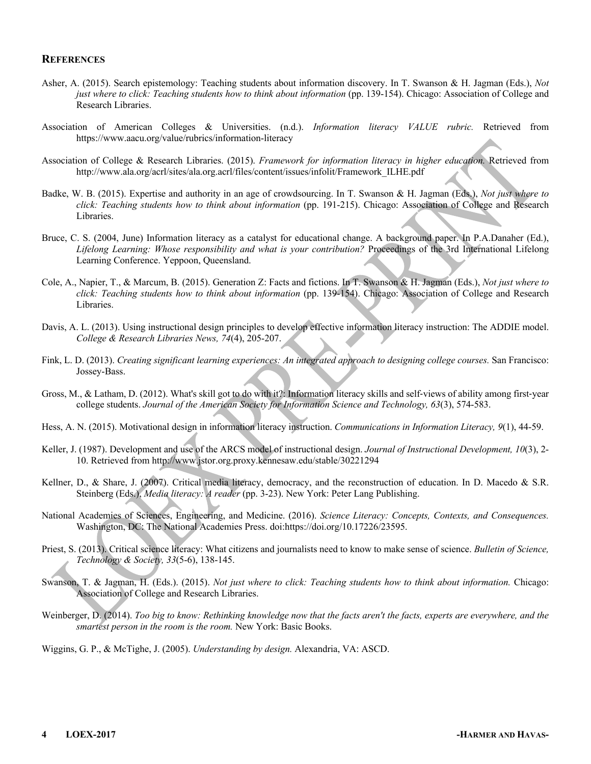#### **REFERENCES**

- Asher, A. (2015). Search epistemology: Teaching students about information discovery. In T. Swanson & H. Jagman (Eds.), *Not just where to click: Teaching students how to think about information* (pp. 139-154). Chicago: Association of College and Research Libraries.
- Association of American Colleges & Universities. (n.d.). *Information literacy VALUE rubric.* Retrieved from https://www.aacu.org/value/rubrics/information-literacy
- Association of College & Research Libraries. (2015). *Framework for information literacy in higher education.* Retrieved from http://www.ala.org/acrl/sites/ala.org.acrl/files/content/issues/infolit/Framework\_ILHE.pdf
- Badke, W. B. (2015). Expertise and authority in an age of crowdsourcing. In T. Swanson & H. Jagman (Eds.), *Not just where to click: Teaching students how to think about information* (pp. 191-215). Chicago: Association of College and Research Libraries.
- Bruce, C. S. (2004, June) Information literacy as a catalyst for educational change. A background paper. In P.A.Danaher (Ed.), *Lifelong Learning: Whose responsibility and what is your contribution?* Proceedings of the 3rd International Lifelong Learning Conference. Yeppoon, Queensland.
- Cole, A., Napier, T., & Marcum, B. (2015). Generation Z: Facts and fictions. In T. Swanson & H. Jagman (Eds.), *Not just where to click: Teaching students how to think about information* (pp. 139-154). Chicago: Association of College and Research Libraries.
- Davis, A. L. (2013). Using instructional design principles to develop effective information literacy instruction: The ADDIE model. *College & Research Libraries News, 74*(4), 205-207.
- Fink, L. D. (2013). *Creating significant learning experiences: An integrated approach to designing college courses.* San Francisco: Jossey-Bass.
- Gross, M., & Latham, D. (2012). What's skill got to do with it?: Information literacy skills and self-views of ability among first-year college students. *Journal of the American Society for Information Science and Technology, 63*(3), 574-583.
- Hess, A. N. (2015). Motivational design in information literacy instruction. *Communications in Information Literacy, 9*(1), 44-59.
- Keller, J. (1987). Development and use of the ARCS model of instructional design. *Journal of Instructional Development, 10*(3), 2- 10. Retrieved from http://www.jstor.org.proxy.kennesaw.edu/stable/30221294
- Kellner, D., & Share, J. (2007). Critical media literacy, democracy, and the reconstruction of education. In D. Macedo & S.R. Steinberg (Eds.), *Media literacy: A reader* (pp. 3-23). New York: Peter Lang Publishing.
- National Academies of Sciences, Engineering, and Medicine. (2016). *Science Literacy: Concepts, Contexts, and Consequences.* Washington, DC: The National Academies Press. doi:https://doi.org/10.17226/23595.
- Priest, S. (2013). Critical science literacy: What citizens and journalists need to know to make sense of science. *Bulletin of Science, Technology & Society, 33*(5-6), 138-145.
- Swanson, T. & Jagman, H. (Eds.). (2015). *Not just where to click: Teaching students how to think about information.* Chicago: Association of College and Research Libraries.
- Weinberger, D. (2014). *Too big to know: Rethinking knowledge now that the facts aren't the facts, experts are everywhere, and the smartest person in the room is the room.* New York: Basic Books.

Wiggins, G. P., & McTighe, J. (2005). *Understanding by design.* Alexandria, VA: ASCD.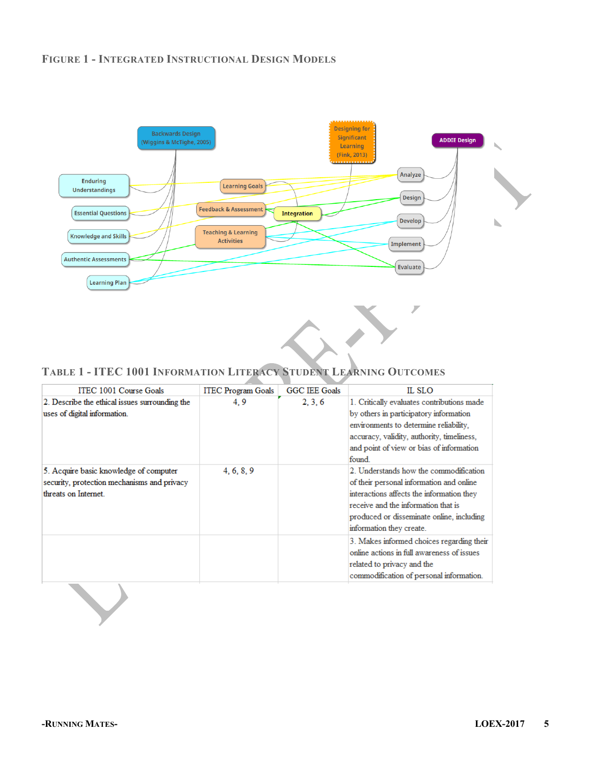#### **FIGURE 1 - INTEGRATED INSTRUCTIONAL DESIGN MODELS**



## **TABLE 1 - ITEC 1001 INFORMATION LITERACY STUDENT LEARNING OUTCOMES**

| ITEC 1001 Course Goals<br>2. Describe the ethical issues surrounding the<br>uses of digital information.      | <b>ITEC Program Goals</b><br>4.9 | <b>GGC IEE Goals</b><br>2, 3, 6 | IL SLO<br>1. Critically evaluates contributions made                                                                                                                                                                                            |
|---------------------------------------------------------------------------------------------------------------|----------------------------------|---------------------------------|-------------------------------------------------------------------------------------------------------------------------------------------------------------------------------------------------------------------------------------------------|
|                                                                                                               |                                  |                                 |                                                                                                                                                                                                                                                 |
|                                                                                                               |                                  |                                 | by others in participatory information<br>environments to determine reliability,<br>accuracy, validity, authority, timeliness,<br>and point of view or bias of information<br>found.                                                            |
| 5. Acquire basic knowledge of computer<br>security, protection mechanisms and privacy<br>threats on Internet. | 4, 6, 8, 9                       |                                 | 2. Understands how the commodification<br>of their personal information and online<br>interactions affects the information they<br>receive and the information that is<br>produced or disseminate online, including<br>information they create. |
|                                                                                                               |                                  |                                 | 3. Makes informed choices regarding their<br>online actions in full awareness of issues<br>related to privacy and the<br>commodification of personal information.                                                                               |